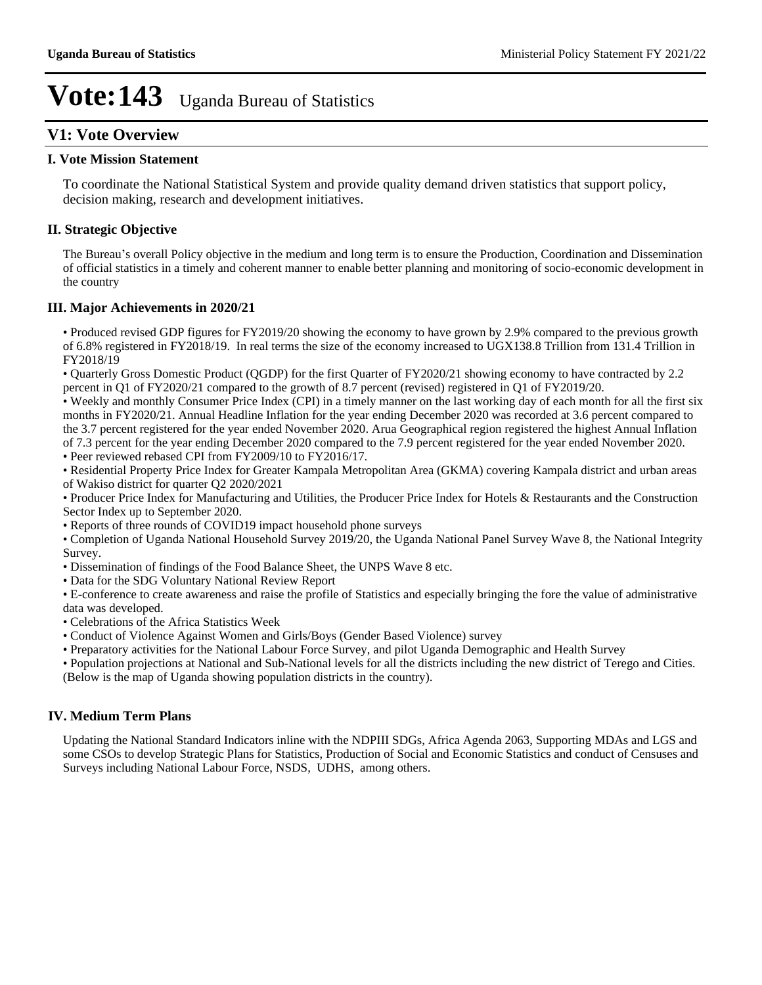# **V1: Vote Overview**

### **I. Vote Mission Statement**

To coordinate the National Statistical System and provide quality demand driven statistics that support policy, decision making, research and development initiatives.

## **II. Strategic Objective**

The Bureau's overall Policy objective in the medium and long term is to ensure the Production, Coordination and Dissemination of official statistics in a timely and coherent manner to enable better planning and monitoring of socio-economic development in the country

### **III. Major Achievements in 2020/21**

Produced revised GDP figures for FY2019/20 showing the economy to have grown by 2.9% compared to the previous growth of 6.8% registered in FY2018/19. In real terms the size of the economy increased to UGX138.8 Trillion from 131.4 Trillion in FY2018/19

Quarterly Gross Domestic Product (QGDP) for the first Quarter of FY2020/21 showing economy to have contracted by 2.2 percent in Q1 of FY2020/21 compared to the growth of 8.7 percent (revised) registered in Q1 of FY2019/20.

Weekly and monthly Consumer Price Index (CPI) in a timely manner on the last working day of each month for all the first six months in FY2020/21. Annual Headline Inflation for the year ending December 2020 was recorded at 3.6 percent compared to the 3.7 percent registered for the year ended November 2020. Arua Geographical region registered the highest Annual Inflation of 7.3 percent for the year ending December 2020 compared to the 7.9 percent registered for the year ended November 2020.

Peer reviewed rebased CPI from FY2009/10 to FY2016/17.

Residential Property Price Index for Greater Kampala Metropolitan Area (GKMA) covering Kampala district and urban areas of Wakiso district for quarter Q2 2020/2021

• Producer Price Index for Manufacturing and Utilities, the Producer Price Index for Hotels & Restaurants and the Construction Sector Index up to September 2020.

Reports of three rounds of COVID19 impact household phone surveys

Completion of Uganda National Household Survey 2019/20, the Uganda National Panel Survey Wave 8, the National Integrity Survey.

Dissemination of findings of the Food Balance Sheet, the UNPS Wave 8 etc.

Data for the SDG Voluntary National Review Report

E-conference to create awareness and raise the profile of Statistics and especially bringing the fore the value of administrative data was developed.

Celebrations of the Africa Statistics Week

- Conduct of Violence Against Women and Girls/Boys (Gender Based Violence) survey
- Preparatory activities for the National Labour Force Survey, and pilot Uganda Demographic and Health Survey

Population projections at National and Sub-National levels for all the districts including the new district of Terego and Cities. (Below is the map of Uganda showing population districts in the country).

## **IV. Medium Term Plans**

Updating the National Standard Indicators inline with the NDPIII SDGs, Africa Agenda 2063, Supporting MDAs and LGS and some CSOs to develop Strategic Plans for Statistics, Production of Social and Economic Statistics and conduct of Censuses and Surveys including National Labour Force, NSDS, UDHS, among others.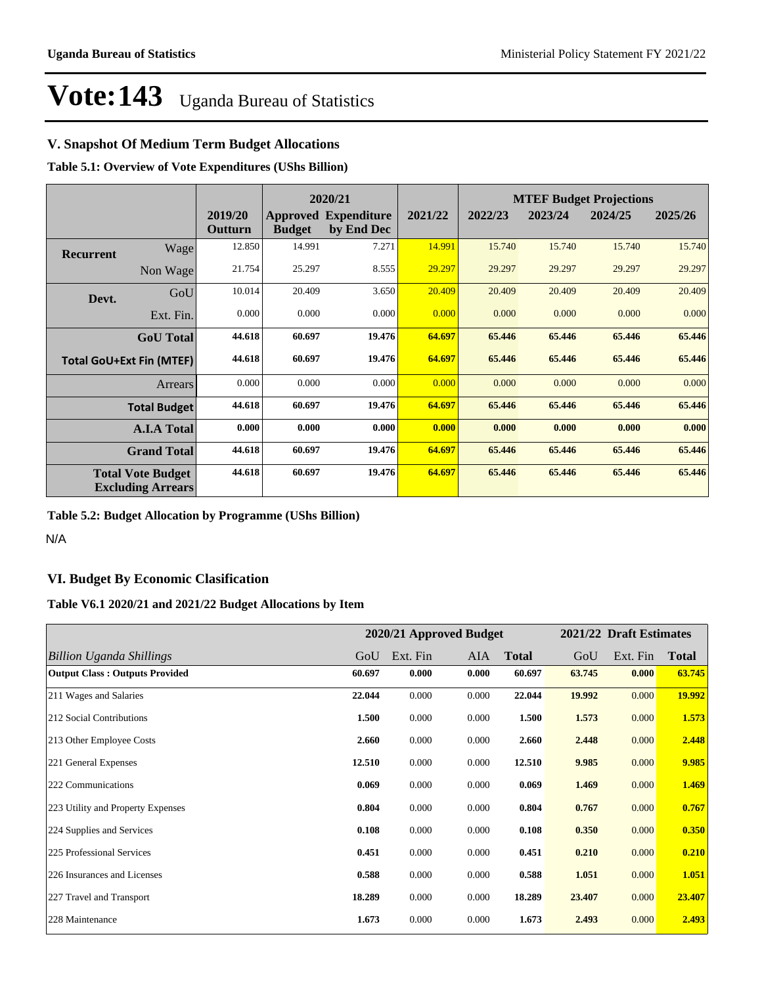## **V. Snapshot Of Medium Term Budget Allocations**

**Table 5.1: Overview of Vote Expenditures (UShs Billion)**

|           |                                                      |                    |               | 2020/21                                   |         | <b>MTEF Budget Projections</b> |         |         |         |
|-----------|------------------------------------------------------|--------------------|---------------|-------------------------------------------|---------|--------------------------------|---------|---------|---------|
|           |                                                      | 2019/20<br>Outturn | <b>Budget</b> | <b>Approved Expenditure</b><br>by End Dec | 2021/22 | 2022/23                        | 2023/24 | 2024/25 | 2025/26 |
| Recurrent | Wage                                                 | 12.850             | 14.991        | 7.271                                     | 14.991  | 15.740                         | 15.740  | 15.740  | 15.740  |
|           | Non Wage                                             | 21.754             | 25.297        | 8.555                                     | 29.297  | 29.297                         | 29.297  | 29.297  | 29.297  |
| Devt.     | GoU                                                  | 10.014             | 20.409        | 3.650                                     | 20.409  | 20.409                         | 20.409  | 20.409  | 20.409  |
|           | Ext. Fin.                                            | 0.000              | 0.000         | 0.000                                     | 0.000   | 0.000                          | 0.000   | 0.000   | 0.000   |
|           | <b>GoU</b> Total                                     | 44.618             | 60.697        | 19.476                                    | 64.697  | 65.446                         | 65.446  | 65.446  | 65.446  |
|           | <b>Total GoU+Ext Fin (MTEF)</b>                      | 44.618             | 60.697        | 19.476                                    | 64.697  | 65.446                         | 65.446  | 65.446  | 65.446  |
|           | Arrears                                              | 0.000              | 0.000         | 0.000                                     | 0.000   | 0.000                          | 0.000   | 0.000   | 0.000   |
|           | <b>Total Budget</b>                                  | 44.618             | 60.697        | 19.476                                    | 64.697  | 65.446                         | 65.446  | 65.446  | 65.446  |
|           | <b>A.I.A Total</b>                                   | 0.000              | 0.000         | 0.000                                     | 0.000   | 0.000                          | 0.000   | 0.000   | 0.000   |
|           | <b>Grand Total</b>                                   | 44.618             | 60.697        | 19.476                                    | 64.697  | 65.446                         | 65.446  | 65,446  | 65.446  |
|           | <b>Total Vote Budget</b><br><b>Excluding Arrears</b> | 44.618             | 60.697        | 19.476                                    | 64.697  | 65.446                         | 65.446  | 65.446  | 65.446  |

**Table 5.2: Budget Allocation by Programme (UShs Billion)**

N/A

## **VI. Budget By Economic Clasification**

## **Table V6.1 2020/21 and 2021/22 Budget Allocations by Item**

|                                       |        | 2020/21 Approved Budget |       |              |        | 2021/22 Draft Estimates |              |
|---------------------------------------|--------|-------------------------|-------|--------------|--------|-------------------------|--------------|
| Billion Uganda Shillings              | GoU    | Ext. Fin                | AIA   | <b>Total</b> | GoU    | Ext. Fin                | <b>Total</b> |
| <b>Output Class: Outputs Provided</b> | 60.697 | 0.000                   | 0.000 | 60.697       | 63.745 | 0.000                   | 63.745       |
| 211 Wages and Salaries                | 22.044 | 0.000                   | 0.000 | 22.044       | 19.992 | 0.000                   | 19.992       |
| 212 Social Contributions              | 1.500  | 0.000                   | 0.000 | 1.500        | 1.573  | 0.000                   | 1.573        |
| 213 Other Employee Costs              | 2.660  | 0.000                   | 0.000 | 2.660        | 2.448  | 0.000                   | 2.448        |
| 221 General Expenses                  | 12.510 | 0.000                   | 0.000 | 12.510       | 9.985  | 0.000                   | 9.985        |
| 222 Communications                    | 0.069  | 0.000                   | 0.000 | 0.069        | 1.469  | 0.000                   | 1.469        |
| 223 Utility and Property Expenses     | 0.804  | 0.000                   | 0.000 | 0.804        | 0.767  | 0.000                   | 0.767        |
| 224 Supplies and Services             | 0.108  | 0.000                   | 0.000 | 0.108        | 0.350  | 0.000                   | 0.350        |
| 225 Professional Services             | 0.451  | 0.000                   | 0.000 | 0.451        | 0.210  | 0.000                   | 0.210        |
| 226 Insurances and Licenses           | 0.588  | 0.000                   | 0.000 | 0.588        | 1.051  | 0.000                   | 1.051        |
| 227 Travel and Transport              | 18.289 | 0.000                   | 0.000 | 18.289       | 23.407 | 0.000                   | 23.407       |
| 228 Maintenance                       | 1.673  | 0.000                   | 0.000 | 1.673        | 2.493  | 0.000                   | 2.493        |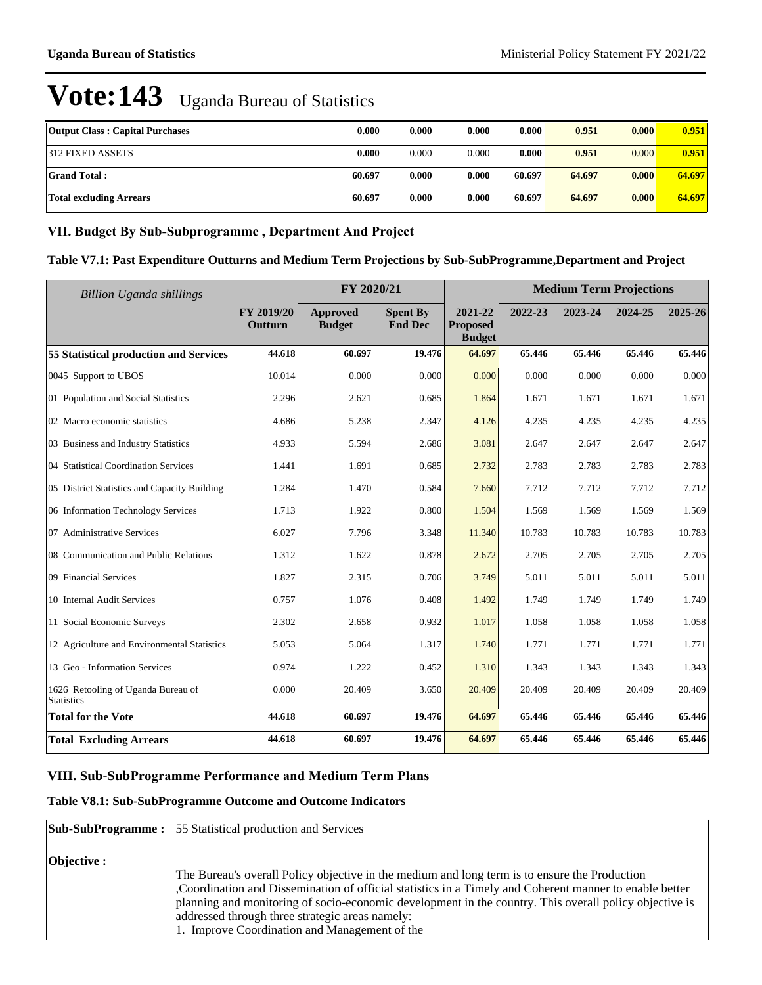| <b>Output Class: Capital Purchases</b> | 0.000  | 0.000 | 0.000 | 0.000  | 0.951  | 0.000 | 0.951  |
|----------------------------------------|--------|-------|-------|--------|--------|-------|--------|
| 312 FIXED ASSETS                       | 0.000  | 0.000 | 0.000 | 0.000  | 0.951  | 0.000 | 0.951  |
| <b>Grand Total:</b>                    | 60.697 | 0.000 | 0.000 | 60.697 | 64.697 | 0.000 | 64.697 |
| <b>Total excluding Arrears</b>         | 60.697 | 0.000 | 0.000 | 60.697 | 64.697 | 0.000 | 64.697 |

## VII. Budget By Sub-Subprogramme, Department And Project

| Table V7.1: Past Expenditure Outturns and Medium Term Projections by Sub-SubProgramme, Department and Project |  |  |
|---------------------------------------------------------------------------------------------------------------|--|--|
|---------------------------------------------------------------------------------------------------------------|--|--|

| <b>Billion Uganda shillings</b>                         | FY 2020/21                   |                           |                                   |                                             | <b>Medium Term Projections</b> |         |         |         |
|---------------------------------------------------------|------------------------------|---------------------------|-----------------------------------|---------------------------------------------|--------------------------------|---------|---------|---------|
|                                                         | <b>FY 2019/20</b><br>Outturn | Approved<br><b>Budget</b> | <b>Spent By</b><br><b>End Dec</b> | 2021-22<br><b>Proposed</b><br><b>Budget</b> | 2022-23                        | 2023-24 | 2024-25 | 2025-26 |
| 55 Statistical production and Services                  | 44.618                       | 60.697                    | 19.476                            | 64.697                                      | 65,446                         | 65.446  | 65,446  | 65.446  |
| 0045 Support to UBOS                                    | 10.014                       | 0.000                     | 0.000                             | 0.000                                       | 0.000                          | 0.000   | 0.000   | 0.000   |
| 01 Population and Social Statistics                     | 2.296                        | 2.621                     | 0.685                             | 1.864                                       | 1.671                          | 1.671   | 1.671   | 1.671   |
| 02 Macro economic statistics                            | 4.686                        | 5.238                     | 2.347                             | 4.126                                       | 4.235                          | 4.235   | 4.235   | 4.235   |
| 03 Business and Industry Statistics                     | 4.933                        | 5.594                     | 2.686                             | 3.081                                       | 2.647                          | 2.647   | 2.647   | 2.647   |
| 04 Statistical Coordination Services                    | 1.441                        | 1.691                     | 0.685                             | 2.732                                       | 2.783                          | 2.783   | 2.783   | 2.783   |
| 05 District Statistics and Capacity Building            | 1.284                        | 1.470                     | 0.584                             | 7.660                                       | 7.712                          | 7.712   | 7.712   | 7.712   |
| 06 Information Technology Services                      | 1.713                        | 1.922                     | 0.800                             | 1.504                                       | 1.569                          | 1.569   | 1.569   | 1.569   |
| 07 Administrative Services                              | 6.027                        | 7.796                     | 3.348                             | 11.340                                      | 10.783                         | 10.783  | 10.783  | 10.783  |
| 08 Communication and Public Relations                   | 1.312                        | 1.622                     | 0.878                             | 2.672                                       | 2.705                          | 2.705   | 2.705   | 2.705   |
| 09 Financial Services                                   | 1.827                        | 2.315                     | 0.706                             | 3.749                                       | 5.011                          | 5.011   | 5.011   | 5.011   |
| 10 Internal Audit Services                              | 0.757                        | 1.076                     | 0.408                             | 1.492                                       | 1.749                          | 1.749   | 1.749   | 1.749   |
| 11 Social Economic Surveys                              | 2.302                        | 2.658                     | 0.932                             | 1.017                                       | 1.058                          | 1.058   | 1.058   | 1.058   |
| 12 Agriculture and Environmental Statistics             | 5.053                        | 5.064                     | 1.317                             | 1.740                                       | 1.771                          | 1.771   | 1.771   | 1.771   |
| 13 Geo - Information Services                           | 0.974                        | 1.222                     | 0.452                             | 1.310                                       | 1.343                          | 1.343   | 1.343   | 1.343   |
| 1626 Retooling of Uganda Bureau of<br><b>Statistics</b> | 0.000                        | 20.409                    | 3.650                             | 20.409                                      | 20.409                         | 20.409  | 20.409  | 20.409  |
| <b>Total for the Vote</b>                               | 44.618                       | 60.697                    | 19.476                            | 64.697                                      | 65.446                         | 65.446  | 65.446  | 65.446  |
| <b>Total Excluding Arrears</b>                          | 44.618                       | 60.697                    | 19.476                            | 64.697                                      | 65.446                         | 65.446  | 65.446  | 65.446  |

# **VIII. Sub-SubProgramme Performance and Medium Term Plans**

### **Table V8.1: Sub-SubProgramme Outcome and Outcome Indicators**

**Sub-SubProgramme :** 55 Statistical production and Services

**Objective :**

The Bureau's overall Policy objective in the medium and long term is to ensure the Production ,Coordination and Dissemination of official statistics in a Timely and Coherent manner to enable better planning and monitoring of socio-economic development in the country. This overall policy objective is addressed through three strategic areas namely:

1. Improve Coordination and Management of the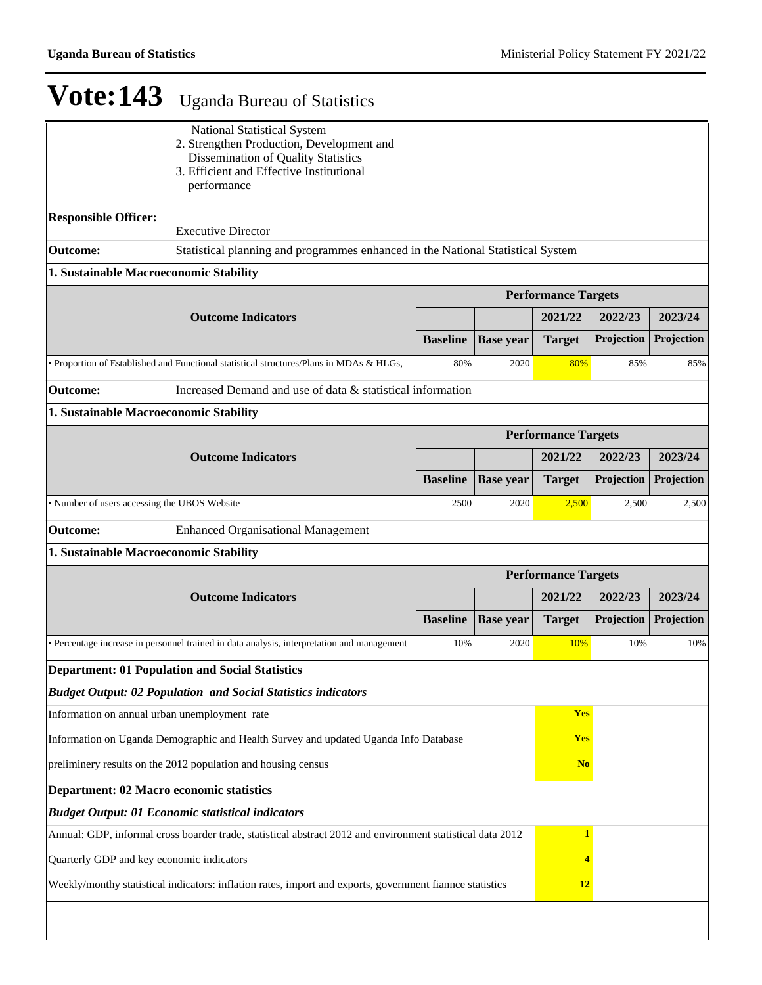|                                                               | <b>National Statistical System</b><br>2. Strengthen Production, Development and<br>Dissemination of Quality Statistics |                            |                  |                            |                |            |  |
|---------------------------------------------------------------|------------------------------------------------------------------------------------------------------------------------|----------------------------|------------------|----------------------------|----------------|------------|--|
|                                                               | 3. Efficient and Effective Institutional<br>performance                                                                |                            |                  |                            |                |            |  |
| <b>Responsible Officer:</b><br><b>Executive Director</b>      |                                                                                                                        |                            |                  |                            |                |            |  |
| <b>Outcome:</b>                                               | Statistical planning and programmes enhanced in the National Statistical System                                        |                            |                  |                            |                |            |  |
| 1. Sustainable Macroeconomic Stability                        |                                                                                                                        |                            |                  |                            |                |            |  |
|                                                               |                                                                                                                        |                            |                  | <b>Performance Targets</b> |                |            |  |
| <b>Outcome Indicators</b>                                     |                                                                                                                        |                            |                  | 2021/22                    | 2022/23        | 2023/24    |  |
|                                                               |                                                                                                                        | <b>Baseline</b>            | <b>Base year</b> | <b>Target</b>              | Projection     | Projection |  |
|                                                               | · Proportion of Established and Functional statistical structures/Plans in MDAs & HLGs,                                | 80%                        | 2020             | 80%                        | 85%            | 85%        |  |
| <b>Outcome:</b>                                               | Increased Demand and use of data & statistical information                                                             |                            |                  |                            |                |            |  |
| 1. Sustainable Macroeconomic Stability                        |                                                                                                                        |                            |                  |                            |                |            |  |
|                                                               |                                                                                                                        | <b>Performance Targets</b> |                  |                            |                |            |  |
|                                                               | <b>Outcome Indicators</b>                                                                                              |                            |                  | 2021/22                    | 2022/23        | 2023/24    |  |
|                                                               |                                                                                                                        | <b>Baseline</b>            | <b>Base year</b> | <b>Target</b>              | Projection     | Projection |  |
| • Number of users accessing the UBOS Website                  |                                                                                                                        | 2500                       | 2020             | 2,500                      | 2,500          | 2,500      |  |
| <b>Outcome:</b>                                               | <b>Enhanced Organisational Management</b>                                                                              |                            |                  |                            |                |            |  |
| 1. Sustainable Macroeconomic Stability                        |                                                                                                                        |                            |                  |                            |                |            |  |
|                                                               |                                                                                                                        | <b>Performance Targets</b> |                  |                            |                |            |  |
|                                                               | <b>Outcome Indicators</b>                                                                                              |                            |                  | 2021/22                    | 2022/23        | 2023/24    |  |
|                                                               |                                                                                                                        | <b>Baseline</b>            | <b>Base year</b> | <b>Target</b>              | Projection     | Projection |  |
|                                                               | · Percentage increase in personnel trained in data analysis, interpretation and management                             | 10%                        | 2020             | 10%                        | 10%            | 10%        |  |
|                                                               | <b>Department: 01 Population and Social Statistics</b>                                                                 |                            |                  |                            |                |            |  |
|                                                               | <b>Budget Output: 02 Population and Social Statistics indicators</b>                                                   |                            |                  |                            |                |            |  |
| Information on annual urban unemployment rate                 |                                                                                                                        |                            |                  | <b>Yes</b>                 |                |            |  |
|                                                               | Information on Uganda Demographic and Health Survey and updated Uganda Info Database                                   |                            |                  | <b>Yes</b>                 |                |            |  |
| preliminery results on the 2012 population and housing census |                                                                                                                        |                            |                  |                            | N <sub>o</sub> |            |  |
| Department: 02 Macro economic statistics                      |                                                                                                                        |                            |                  |                            |                |            |  |
|                                                               | <b>Budget Output: 01 Economic statistical indicators</b>                                                               |                            |                  |                            |                |            |  |
|                                                               | Annual: GDP, informal cross boarder trade, statistical abstract 2012 and environment statistical data 2012             |                            |                  | $\mathbf{1}$               |                |            |  |
| Quarterly GDP and key economic indicators                     |                                                                                                                        |                            |                  | 4                          |                |            |  |
|                                                               | Weekly/monthy statistical indicators: inflation rates, import and exports, government fiannce statistics               |                            |                  | 12                         |                |            |  |
|                                                               |                                                                                                                        |                            |                  |                            |                |            |  |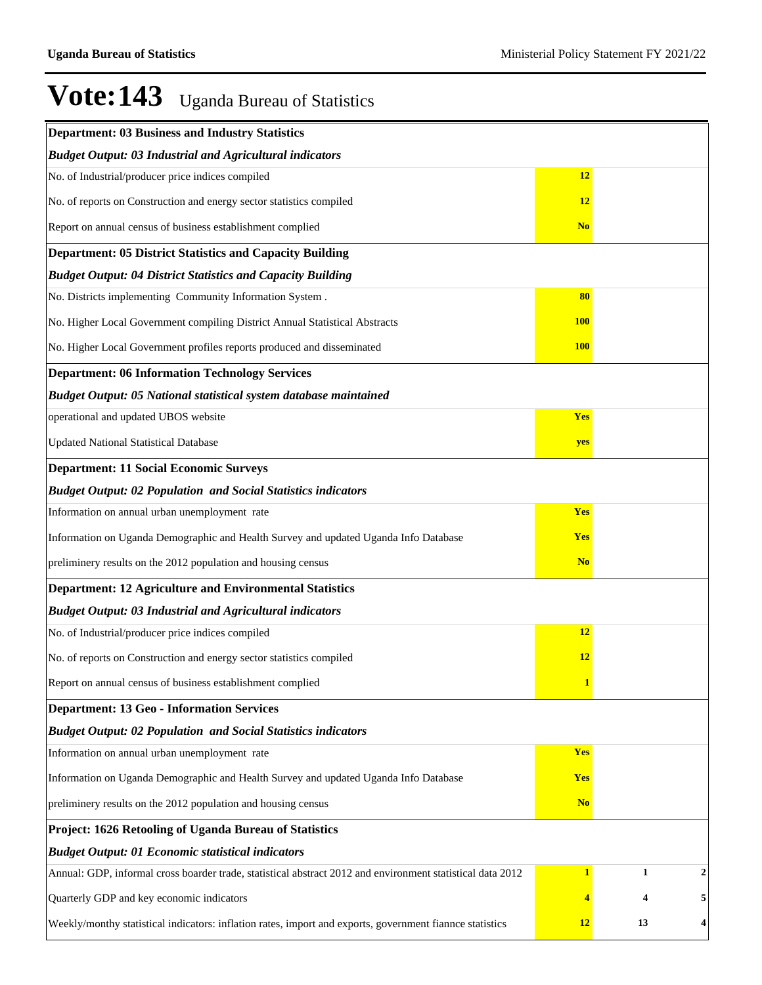| <b>Department: 03 Business and Industry Statistics</b>                                                     |                |    |                  |
|------------------------------------------------------------------------------------------------------------|----------------|----|------------------|
| <b>Budget Output: 03 Industrial and Agricultural indicators</b>                                            |                |    |                  |
| No. of Industrial/producer price indices compiled                                                          | 12             |    |                  |
| No. of reports on Construction and energy sector statistics compiled                                       | 12             |    |                  |
| Report on annual census of business establishment complied                                                 | N <sub>o</sub> |    |                  |
| <b>Department: 05 District Statistics and Capacity Building</b>                                            |                |    |                  |
| <b>Budget Output: 04 District Statistics and Capacity Building</b>                                         |                |    |                  |
| No. Districts implementing Community Information System.                                                   | 80             |    |                  |
| No. Higher Local Government compiling District Annual Statistical Abstracts                                | <b>100</b>     |    |                  |
| No. Higher Local Government profiles reports produced and disseminated                                     | <b>100</b>     |    |                  |
| <b>Department: 06 Information Technology Services</b>                                                      |                |    |                  |
| Budget Output: 05 National statistical system database maintained                                          |                |    |                  |
| operational and updated UBOS website                                                                       | Yes            |    |                  |
| <b>Updated National Statistical Database</b>                                                               | yes            |    |                  |
| <b>Department: 11 Social Economic Surveys</b>                                                              |                |    |                  |
| <b>Budget Output: 02 Population and Social Statistics indicators</b>                                       |                |    |                  |
| Information on annual urban unemployment rate                                                              | <b>Yes</b>     |    |                  |
| Information on Uganda Demographic and Health Survey and updated Uganda Info Database                       | <b>Yes</b>     |    |                  |
| preliminery results on the 2012 population and housing census                                              | <b>No</b>      |    |                  |
| Department: 12 Agriculture and Environmental Statistics                                                    |                |    |                  |
| <b>Budget Output: 03 Industrial and Agricultural indicators</b>                                            |                |    |                  |
| No. of Industrial/producer price indices compiled                                                          | 12             |    |                  |
| No. of reports on Construction and energy sector statistics compiled                                       | 12             |    |                  |
| Report on annual census of business establishment complied                                                 |                |    |                  |
| <b>Department: 13 Geo - Information Services</b>                                                           |                |    |                  |
| <b>Budget Output: 02 Population and Social Statistics indicators</b>                                       |                |    |                  |
| Information on annual urban unemployment rate                                                              | Yes            |    |                  |
| Information on Uganda Demographic and Health Survey and updated Uganda Info Database                       | <b>Yes</b>     |    |                  |
| preliminery results on the 2012 population and housing census                                              | N <sub>o</sub> |    |                  |
| Project: 1626 Retooling of Uganda Bureau of Statistics                                                     |                |    |                  |
| <b>Budget Output: 01 Economic statistical indicators</b>                                                   |                |    |                  |
| Annual: GDP, informal cross boarder trade, statistical abstract 2012 and environment statistical data 2012 | 1              | 1  | $\boldsymbol{2}$ |
| Quarterly GDP and key economic indicators                                                                  | 4              | 4  | 5                |
| Weekly/monthy statistical indicators: inflation rates, import and exports, government fiannce statistics   | <u>12</u>      | 13 | 4                |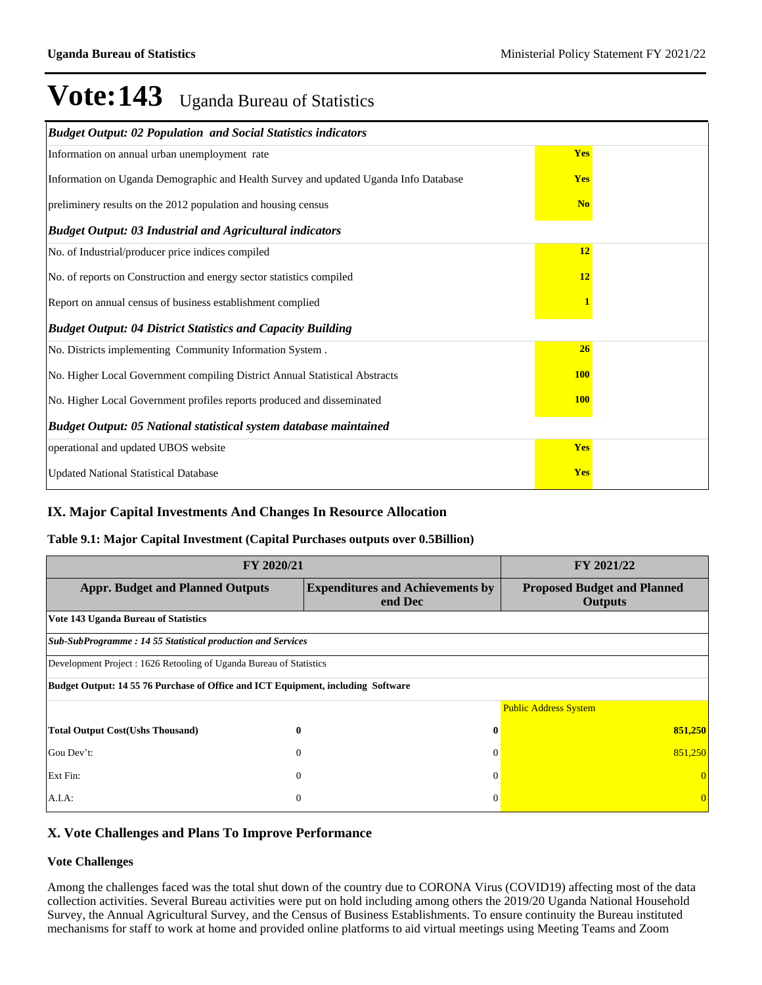| <b>Budget Output: 02 Population and Social Statistics indicators</b>                 |                |  |  |  |
|--------------------------------------------------------------------------------------|----------------|--|--|--|
| Information on annual urban unemployment rate                                        | <b>Yes</b>     |  |  |  |
| Information on Uganda Demographic and Health Survey and updated Uganda Info Database | <b>Yes</b>     |  |  |  |
| preliminery results on the 2012 population and housing census                        | N <sub>o</sub> |  |  |  |
| <b>Budget Output: 03 Industrial and Agricultural indicators</b>                      |                |  |  |  |
| No. of Industrial/producer price indices compiled                                    | <b>12</b>      |  |  |  |
| No. of reports on Construction and energy sector statistics compiled                 | 12             |  |  |  |
| Report on annual census of business establishment complied                           |                |  |  |  |
| <b>Budget Output: 04 District Statistics and Capacity Building</b>                   |                |  |  |  |
| No. Districts implementing Community Information System.                             | 26             |  |  |  |
| No. Higher Local Government compiling District Annual Statistical Abstracts          | <b>100</b>     |  |  |  |
| No. Higher Local Government profiles reports produced and disseminated               | <b>100</b>     |  |  |  |
| <b>Budget Output: 05 National statistical system database maintained</b>             |                |  |  |  |
| operational and updated UBOS website                                                 | Yes            |  |  |  |
| <b>Updated National Statistical Database</b>                                         | <b>Yes</b>     |  |  |  |

# **IX. Major Capital Investments And Changes In Resource Allocation**

## **Table 9.1: Major Capital Investment (Capital Purchases outputs over 0.5Billion)**

| FY 2020/21                                                                       | FY 2021/22                                           |                              |  |  |  |  |
|----------------------------------------------------------------------------------|------------------------------------------------------|------------------------------|--|--|--|--|
| <b>Appr. Budget and Planned Outputs</b>                                          | <b>Proposed Budget and Planned</b><br><b>Outputs</b> |                              |  |  |  |  |
| Vote 143 Uganda Bureau of Statistics                                             |                                                      |                              |  |  |  |  |
| <b>Sub-SubProgramme: 14 55 Statistical production and Services</b>               |                                                      |                              |  |  |  |  |
| Development Project : 1626 Retooling of Uganda Bureau of Statistics              |                                                      |                              |  |  |  |  |
| Budget Output: 14 55 76 Purchase of Office and ICT Equipment, including Software |                                                      |                              |  |  |  |  |
|                                                                                  |                                                      | <b>Public Address System</b> |  |  |  |  |
| <b>Total Output Cost (Ushs Thousand)</b><br>$\bf{0}$                             | $\bf{0}$                                             | 851,250                      |  |  |  |  |
| Gou Dev't:<br>$\theta$                                                           | $\Omega$                                             | 851,250                      |  |  |  |  |
| Ext Fin:<br>$\Omega$                                                             | $\Omega$                                             | $\overline{0}$               |  |  |  |  |
| $A.I.A$ :<br>$\overline{0}$                                                      | $\Omega$                                             | $\overline{0}$               |  |  |  |  |

## **X. Vote Challenges and Plans To Improve Performance**

## **Vote Challenges**

Among the challenges faced was the total shut down of the country due to CORONA Virus (COVID19) affecting most of the data collection activities. Several Bureau activities were put on hold including among others the 2019/20 Uganda National Household Survey, the Annual Agricultural Survey, and the Census of Business Establishments. To ensure continuity the Bureau instituted mechanisms for staff to work at home and provided online platforms to aid virtual meetings using Meeting Teams and Zoom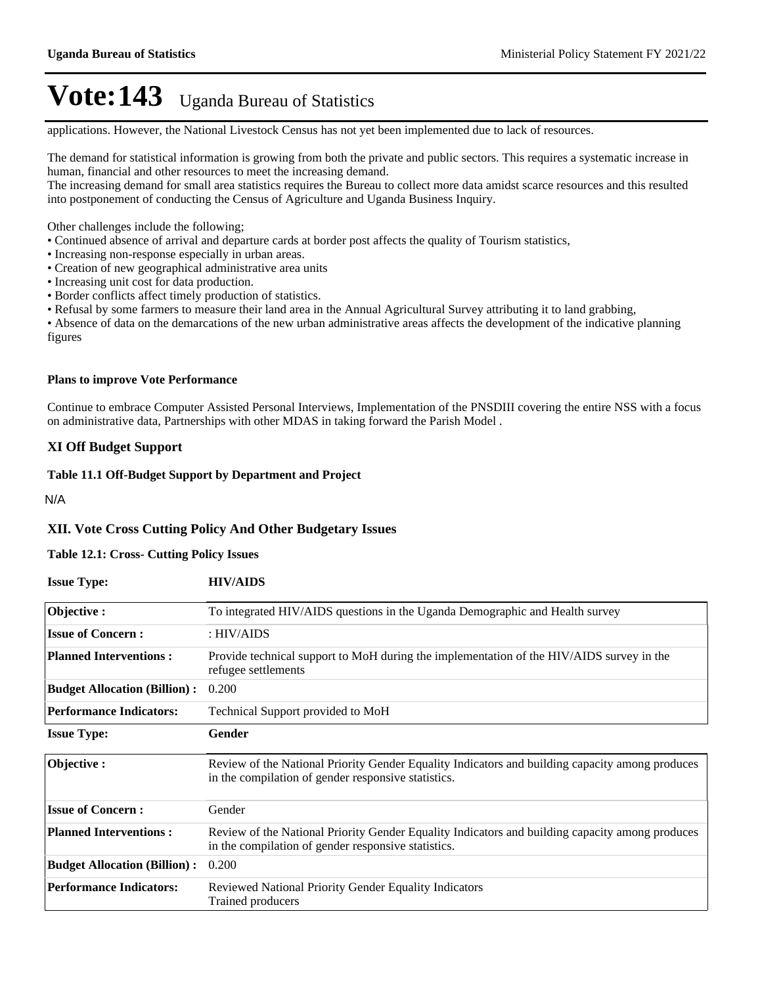applications. However, the National Livestock Census has not yet been implemented due to lack of resources.

The demand for statistical information is growing from both the private and public sectors. This requires a systematic increase in human, financial and other resources to meet the increasing demand.

The increasing demand for small area statistics requires the Bureau to collect more data amidst scarce resources and this resulted into postponement of conducting the Census of Agriculture and Uganda Business Inquiry.

Other challenges include the following;

- Continued absence of arrival and departure cards at border post affects the quality of Tourism statistics,
- Increasing non-response especially in urban areas.
- Creation of new geographical administrative area units
- Increasing unit cost for data production.
- Border conflicts affect timely production of statistics.
- Refusal by some farmers to measure their land area in the Annual Agricultural Survey attributing it to land grabbing,

Absence of data on the demarcations of the new urban administrative areas affects the development of the indicative planning figures

#### **Plans to improve Vote Performance**

Continue to embrace Computer Assisted Personal Interviews, Implementation of the PNSDIII covering the entire NSS with a focus on administrative data, Partnerships with other MDAS in taking forward the Parish Model .

### **XI Off Budget Support**

#### **Table 11.1 Off-Budget Support by Department and Project**

N/A

## **XII. Vote Cross Cutting Policy And Other Budgetary Issues**

#### **Table 12.1: Cross- Cutting Policy Issues**

| <b>Issue Type:</b>                  | <b>HIV/AIDS</b>                                                                                                                                        |
|-------------------------------------|--------------------------------------------------------------------------------------------------------------------------------------------------------|
| Objective:                          | To integrated HIV/AIDS questions in the Uganda Demographic and Health survey                                                                           |
| <b>Issue of Concern:</b>            | $:$ HIV/AIDS                                                                                                                                           |
| <b>Planned Interventions:</b>       | Provide technical support to MoH during the implementation of the HIV/AIDS survey in the<br>refugee settlements                                        |
| <b>Budget Allocation (Billion):</b> | 0.200                                                                                                                                                  |
| <b>Performance Indicators:</b>      | Technical Support provided to MoH                                                                                                                      |
| <b>Issue Type:</b>                  | Gender                                                                                                                                                 |
| Objective:                          | Review of the National Priority Gender Equality Indicators and building capacity among produces<br>in the compilation of gender responsive statistics. |
| <b>Issue of Concern:</b>            | Gender                                                                                                                                                 |
| <b>Planned Interventions:</b>       | Review of the National Priority Gender Equality Indicators and building capacity among produces<br>in the compilation of gender responsive statistics. |
| <b>Budget Allocation (Billion):</b> | 0.200                                                                                                                                                  |
| <b>Performance Indicators:</b>      | Reviewed National Priority Gender Equality Indicators<br>Trained producers                                                                             |